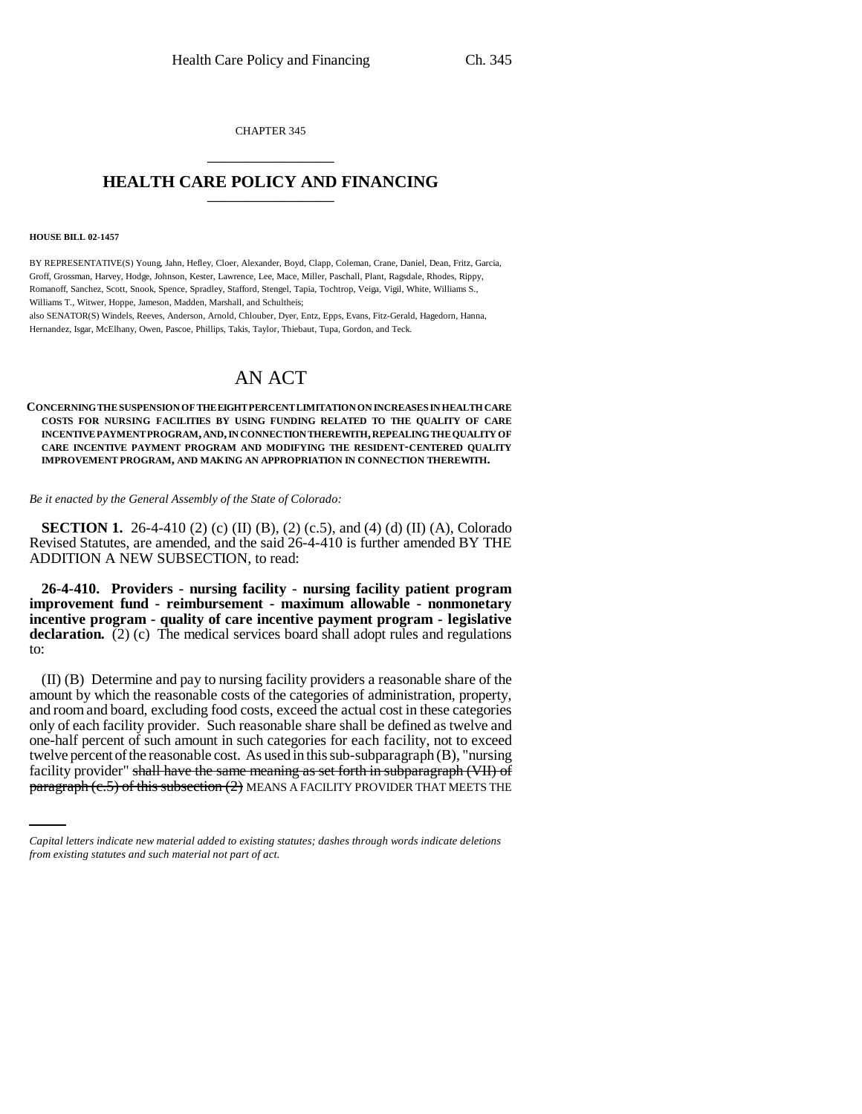CHAPTER 345 \_\_\_\_\_\_\_\_\_\_\_\_\_\_\_

## **HEALTH CARE POLICY AND FINANCING** \_\_\_\_\_\_\_\_\_\_\_\_\_\_\_

#### **HOUSE BILL 02-1457**

BY REPRESENTATIVE(S) Young, Jahn, Hefley, Cloer, Alexander, Boyd, Clapp, Coleman, Crane, Daniel, Dean, Fritz, Garcia, Groff, Grossman, Harvey, Hodge, Johnson, Kester, Lawrence, Lee, Mace, Miller, Paschall, Plant, Ragsdale, Rhodes, Rippy, Romanoff, Sanchez, Scott, Snook, Spence, Spradley, Stafford, Stengel, Tapia, Tochtrop, Veiga, Vigil, White, Williams S., Williams T., Witwer, Hoppe, Jameson, Madden, Marshall, and Schultheis; also SENATOR(S) Windels, Reeves, Anderson, Arnold, Chlouber, Dyer, Entz, Epps, Evans, Fitz-Gerald, Hagedorn, Hanna,

Hernandez, Isgar, McElhany, Owen, Pascoe, Phillips, Takis, Taylor, Thiebaut, Tupa, Gordon, and Teck.

# AN ACT

#### **CONCERNING THE SUSPENSION OF THE EIGHT PERCENT LIMITATION ON INCREASES IN HEALTH CARE COSTS FOR NURSING FACILITIES BY USING FUNDING RELATED TO THE QUALITY OF CARE INCENTIVE PAYMENT PROGRAM, AND, IN CONNECTION THEREWITH, REPEALING THE QUALITY OF CARE INCENTIVE PAYMENT PROGRAM AND MODIFYING THE RESIDENT-CENTERED QUALITY IMPROVEMENT PROGRAM, AND MAKING AN APPROPRIATION IN CONNECTION THEREWITH.**

*Be it enacted by the General Assembly of the State of Colorado:*

**SECTION 1.** 26-4-410 (2) (c) (II) (B), (2) (c.5), and (4) (d) (II) (A), Colorado Revised Statutes, are amended, and the said 26-4-410 is further amended BY THE ADDITION A NEW SUBSECTION, to read:

**26-4-410. Providers - nursing facility - nursing facility patient program improvement fund - reimbursement - maximum allowable - nonmonetary incentive program - quality of care incentive payment program - legislative declaration.** (2) (c) The medical services board shall adopt rules and regulations to:

twelve percent of the reasonable cost. As used in this sub-subparagraph (B), "nursing (II) (B) Determine and pay to nursing facility providers a reasonable share of the amount by which the reasonable costs of the categories of administration, property, and room and board, excluding food costs, exceed the actual cost in these categories only of each facility provider. Such reasonable share shall be defined as twelve and one-half percent of such amount in such categories for each facility, not to exceed facility provider" shall have the same meaning as set forth in subparagraph (VII) of  $\frac{\text{parameter}}{\text{parameter}}$  of this subsection (2) MEANS A FACILITY PROVIDER THAT MEETS THE

*Capital letters indicate new material added to existing statutes; dashes through words indicate deletions from existing statutes and such material not part of act.*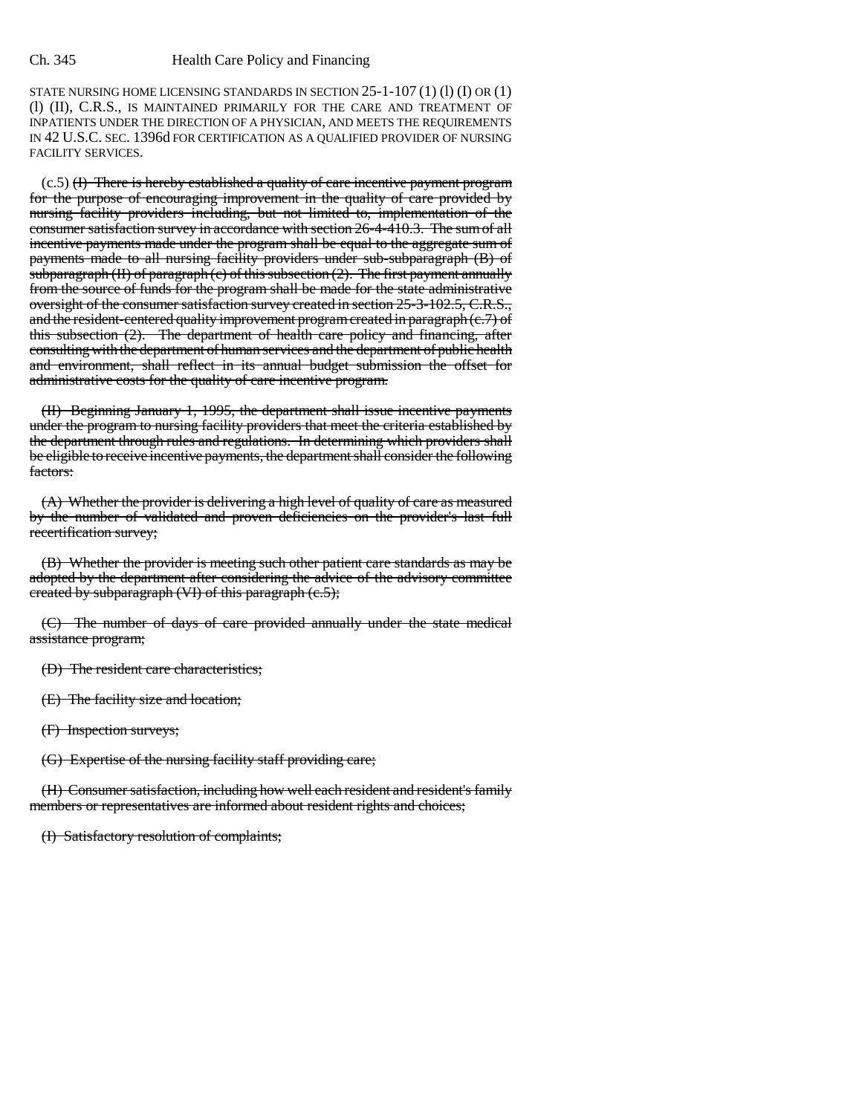STATE NURSING HOME LICENSING STANDARDS IN SECTION 25-1-107 (1) (l) (I) OR (1) (l) (II), C.R.S., IS MAINTAINED PRIMARILY FOR THE CARE AND TREATMENT OF INPATIENTS UNDER THE DIRECTION OF A PHYSICIAN, AND MEETS THE REQUIREMENTS IN 42 U.S.C. SEC. 1396d FOR CERTIFICATION AS A QUALIFIED PROVIDER OF NURSING FACILITY SERVICES.

 $(c.5)$  (I) There is hereby established a quality of care incentive payment program for the purpose of encouraging improvement in the quality of care provided by nursing facility providers including, but not limited to, implementation of the consumer satisfaction survey in accordance with section 26-4-410.3. The sum of all incentive payments made under the program shall be equal to the aggregate sum of payments made to all nursing facility providers under sub-subparagraph (B) of subparagraph  $(H)$  of paragraph  $(c)$  of this subsection  $(2)$ . The first payment annually from the source of funds for the program shall be made for the state administrative oversight of the consumer satisfaction survey created in section 25-3-102.5, C.R.S., and the resident-centered quality improvement program created in paragraph (c.7) of this subsection (2). The department of health care policy and financing, after consulting with the department of human services and the department of public health and environment, shall reflect in its annual budget submission the offset for administrative costs for the quality of care incentive program.

(II) Beginning January 1, 1995, the department shall issue incentive payments under the program to nursing facility providers that meet the criteria established by the department through rules and regulations. In determining which providers shall be eligible to receive incentive payments, the department shall consider the following factors:

(A) Whether the provider is delivering a high level of quality of care as measured by the number of validated and proven deficiencies on the provider's last full recertification survey;

(B) Whether the provider is meeting such other patient care standards as may be adopted by the department after considering the advice of the advisory committee created by subparagraph (VI) of this paragraph (c.5);

(C) The number of days of care provided annually under the state medical assistance program;

(D) The resident care characteristics;

(E) The facility size and location;

(F) Inspection surveys;

(G) Expertise of the nursing facility staff providing care;

(H) Consumer satisfaction, including how well each resident and resident's family members or representatives are informed about resident rights and choices;

(I) Satisfactory resolution of complaints;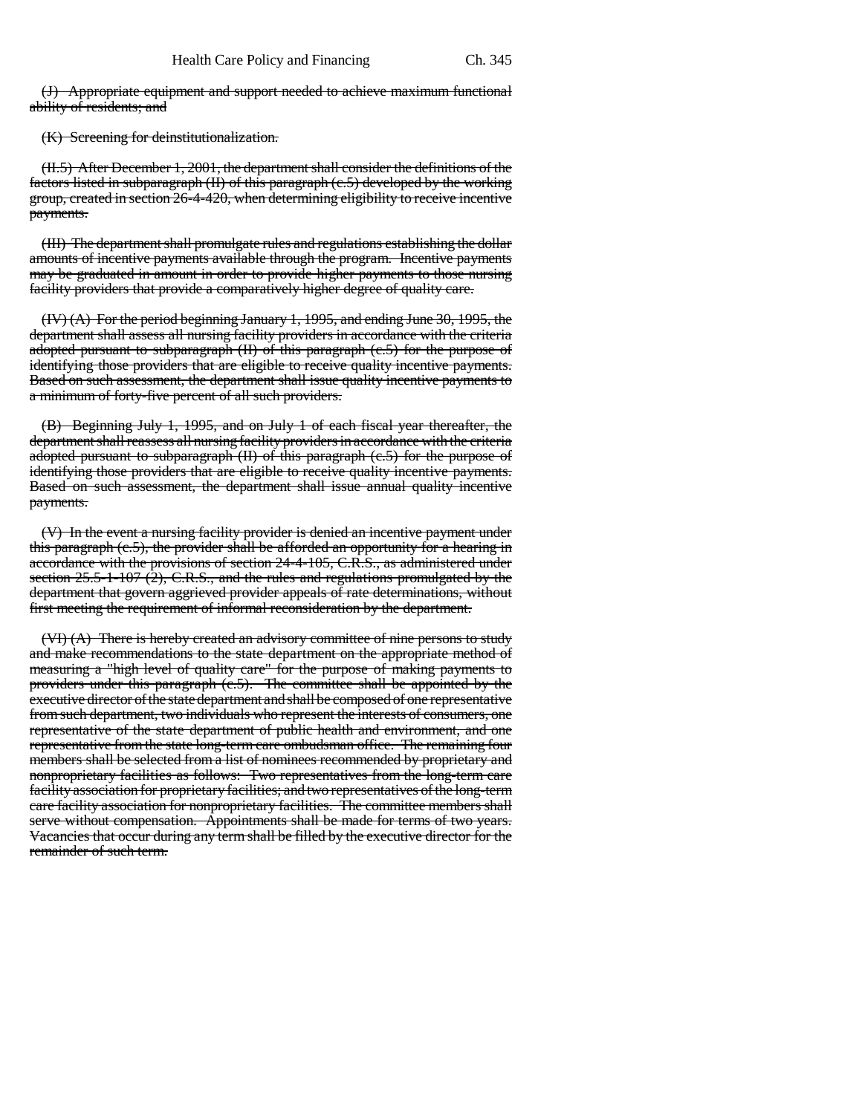(J) Appropriate equipment and support needed to achieve maximum functional ability of residents; and

(K) Screening for deinstitutionalization.

(II.5) After December 1, 2001, the department shall consider the definitions of the factors listed in subparagraph (II) of this paragraph (c.5) developed by the working group, created in section 26-4-420, when determining eligibility to receive incentive payments.

(III) The department shall promulgate rules and regulations establishing the dollar amounts of incentive payments available through the program. Incentive payments may be graduated in amount in order to provide higher payments to those nursing facility providers that provide a comparatively higher degree of quality care.

(IV) (A) For the period beginning January 1, 1995, and ending June 30, 1995, the department shall assess all nursing facility providers in accordance with the criteria adopted pursuant to subparagraph (II) of this paragraph (c.5) for the purpose of identifying those providers that are eligible to receive quality incentive payments. Based on such assessment, the department shall issue quality incentive payments to a minimum of forty-five percent of all such providers.

(B) Beginning July 1, 1995, and on July 1 of each fiscal year thereafter, the department shall reassess all nursing facility providers in accordance with the criteria adopted pursuant to subparagraph (II) of this paragraph (c.5) for the purpose of identifying those providers that are eligible to receive quality incentive payments. Based on such assessment, the department shall issue annual quality incentive payments.

(V) In the event a nursing facility provider is denied an incentive payment under this paragraph (c.5), the provider shall be afforded an opportunity for a hearing in accordance with the provisions of section 24-4-105, C.R.S., as administered under section 25.5-1-107 (2), C.R.S., and the rules and regulations promulgated by the department that govern aggrieved provider appeals of rate determinations, without first meeting the requirement of informal reconsideration by the department.

(VI) (A) There is hereby created an advisory committee of nine persons to study and make recommendations to the state department on the appropriate method of measuring a "high level of quality care" for the purpose of making payments to providers under this paragraph (c.5). The committee shall be appointed by the executive director of the state department and shall be composed of one representative from such department, two individuals who represent the interests of consumers, one representative of the state department of public health and environment, and one representative from the state long-term care ombudsman office. The remaining four members shall be selected from a list of nominees recommended by proprietary and nonproprietary facilities as follows: Two representatives from the long-term care facility association for proprietary facilities; and two representatives of the long-term care facility association for nonproprietary facilities. The committee members shall serve without compensation. Appointments shall be made for terms of two years. Vacancies that occur during any term shall be filled by the executive director for the remainder of such term.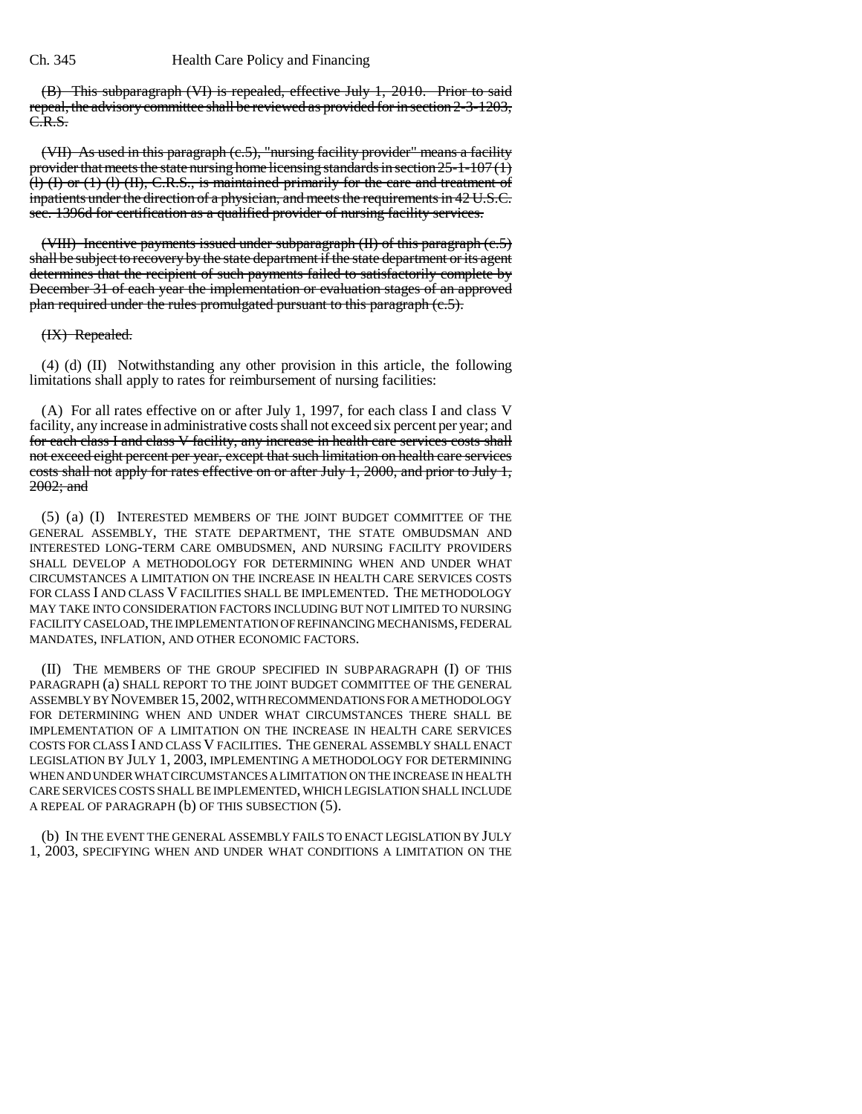### Ch. 345 Health Care Policy and Financing

(B) This subparagraph (VI) is repealed, effective July 1, 2010. Prior to said repeal, the advisory committee shall be reviewed as provided for in section 2-3-1203, C.R.S.

(VII) As used in this paragraph (c.5), "nursing facility provider" means a facility provider that meets the state nursing home licensing standards in section  $25$ -1-107(1) (l) (I) or (1) (l) (II), C.R.S., is maintained primarily for the care and treatment of inpatients under the direction of a physician, and meets the requirements in 42 U.S.C. sec. 1396d for certification as a qualified provider of nursing facility services.

(VIII) Incentive payments issued under subparagraph  $(H)$  of this paragraph  $(e.5)$ shall be subject to recovery by the state department if the state department or its agent determines that the recipient of such payments failed to satisfactorily complete by December 31 of each year the implementation or evaluation stages of an approved plan required under the rules promulgated pursuant to this paragraph (c.5).

## (IX) Repealed.

(4) (d) (II) Notwithstanding any other provision in this article, the following limitations shall apply to rates for reimbursement of nursing facilities:

(A) For all rates effective on or after July 1, 1997, for each class I and class V facility, any increase in administrative costs shall not exceed six percent per year; and for each class I and class V facility, any increase in health care services costs shall not exceed eight percent per year, except that such limitation on health care services costs shall not apply for rates effective on or after July 1, 2000, and prior to July 1, 2002; and

(5) (a) (I) INTERESTED MEMBERS OF THE JOINT BUDGET COMMITTEE OF THE GENERAL ASSEMBLY, THE STATE DEPARTMENT, THE STATE OMBUDSMAN AND INTERESTED LONG-TERM CARE OMBUDSMEN, AND NURSING FACILITY PROVIDERS SHALL DEVELOP A METHODOLOGY FOR DETERMINING WHEN AND UNDER WHAT CIRCUMSTANCES A LIMITATION ON THE INCREASE IN HEALTH CARE SERVICES COSTS FOR CLASS I AND CLASS V FACILITIES SHALL BE IMPLEMENTED. THE METHODOLOGY MAY TAKE INTO CONSIDERATION FACTORS INCLUDING BUT NOT LIMITED TO NURSING FACILITY CASELOAD, THE IMPLEMENTATION OF REFINANCING MECHANISMS, FEDERAL MANDATES, INFLATION, AND OTHER ECONOMIC FACTORS.

(II) THE MEMBERS OF THE GROUP SPECIFIED IN SUBPARAGRAPH (I) OF THIS PARAGRAPH (a) SHALL REPORT TO THE JOINT BUDGET COMMITTEE OF THE GENERAL ASSEMBLY BY NOVEMBER 15,2002, WITH RECOMMENDATIONS FOR A METHODOLOGY FOR DETERMINING WHEN AND UNDER WHAT CIRCUMSTANCES THERE SHALL BE IMPLEMENTATION OF A LIMITATION ON THE INCREASE IN HEALTH CARE SERVICES COSTS FOR CLASS I AND CLASS V FACILITIES. THE GENERAL ASSEMBLY SHALL ENACT LEGISLATION BY JULY 1, 2003, IMPLEMENTING A METHODOLOGY FOR DETERMINING WHEN AND UNDER WHAT CIRCUMSTANCES A LIMITATION ON THE INCREASE IN HEALTH CARE SERVICES COSTS SHALL BE IMPLEMENTED, WHICH LEGISLATION SHALL INCLUDE A REPEAL OF PARAGRAPH (b) OF THIS SUBSECTION (5).

(b) IN THE EVENT THE GENERAL ASSEMBLY FAILS TO ENACT LEGISLATION BY JULY 1, 2003, SPECIFYING WHEN AND UNDER WHAT CONDITIONS A LIMITATION ON THE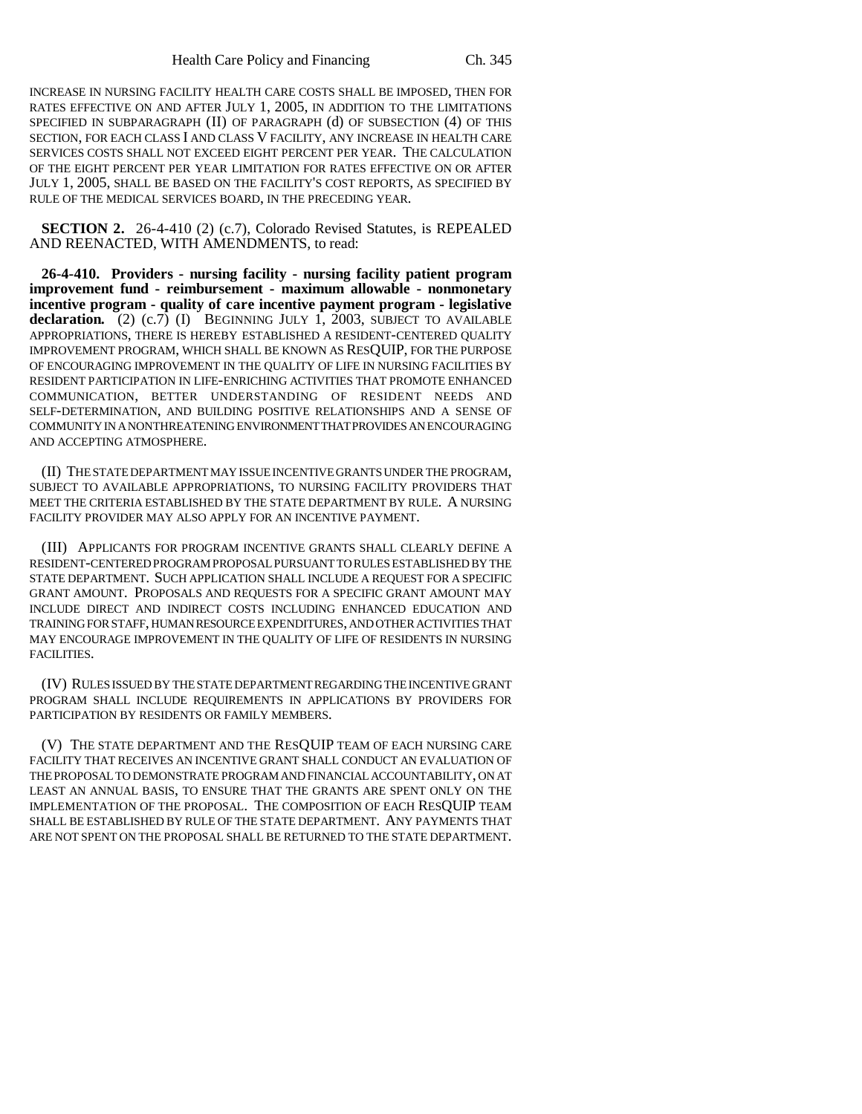INCREASE IN NURSING FACILITY HEALTH CARE COSTS SHALL BE IMPOSED, THEN FOR RATES EFFECTIVE ON AND AFTER JULY 1, 2005, IN ADDITION TO THE LIMITATIONS SPECIFIED IN SUBPARAGRAPH (II) OF PARAGRAPH (d) OF SUBSECTION (4) OF THIS SECTION, FOR EACH CLASS I AND CLASS V FACILITY, ANY INCREASE IN HEALTH CARE SERVICES COSTS SHALL NOT EXCEED EIGHT PERCENT PER YEAR. THE CALCULATION OF THE EIGHT PERCENT PER YEAR LIMITATION FOR RATES EFFECTIVE ON OR AFTER JULY 1, 2005, SHALL BE BASED ON THE FACILITY'S COST REPORTS, AS SPECIFIED BY RULE OF THE MEDICAL SERVICES BOARD, IN THE PRECEDING YEAR.

**SECTION 2.** 26-4-410 (2) (c.7), Colorado Revised Statutes, is REPEALED AND REENACTED, WITH AMENDMENTS, to read:

**26-4-410. Providers - nursing facility - nursing facility patient program improvement fund - reimbursement - maximum allowable - nonmonetary incentive program - quality of care incentive payment program - legislative** declaration. (2) (c.7) (I) BEGINNING JULY 1, 2003, SUBJECT TO AVAILABLE APPROPRIATIONS, THERE IS HEREBY ESTABLISHED A RESIDENT-CENTERED QUALITY IMPROVEMENT PROGRAM, WHICH SHALL BE KNOWN AS RESQUIP, FOR THE PURPOSE OF ENCOURAGING IMPROVEMENT IN THE QUALITY OF LIFE IN NURSING FACILITIES BY RESIDENT PARTICIPATION IN LIFE-ENRICHING ACTIVITIES THAT PROMOTE ENHANCED COMMUNICATION, BETTER UNDERSTANDING OF RESIDENT NEEDS AND SELF-DETERMINATION, AND BUILDING POSITIVE RELATIONSHIPS AND A SENSE OF COMMUNITY IN A NONTHREATENING ENVIRONMENT THAT PROVIDES AN ENCOURAGING AND ACCEPTING ATMOSPHERE.

(II) THE STATE DEPARTMENT MAY ISSUE INCENTIVE GRANTS UNDER THE PROGRAM, SUBJECT TO AVAILABLE APPROPRIATIONS, TO NURSING FACILITY PROVIDERS THAT MEET THE CRITERIA ESTABLISHED BY THE STATE DEPARTMENT BY RULE. A NURSING FACILITY PROVIDER MAY ALSO APPLY FOR AN INCENTIVE PAYMENT.

(III) APPLICANTS FOR PROGRAM INCENTIVE GRANTS SHALL CLEARLY DEFINE A RESIDENT-CENTERED PROGRAM PROPOSAL PURSUANT TO RULES ESTABLISHED BY THE STATE DEPARTMENT. SUCH APPLICATION SHALL INCLUDE A REQUEST FOR A SPECIFIC GRANT AMOUNT. PROPOSALS AND REQUESTS FOR A SPECIFIC GRANT AMOUNT MAY INCLUDE DIRECT AND INDIRECT COSTS INCLUDING ENHANCED EDUCATION AND TRAINING FOR STAFF, HUMAN RESOURCE EXPENDITURES, AND OTHER ACTIVITIES THAT MAY ENCOURAGE IMPROVEMENT IN THE QUALITY OF LIFE OF RESIDENTS IN NURSING FACILITIES.

(IV) RULES ISSUED BY THE STATE DEPARTMENT REGARDING THE INCENTIVE GRANT PROGRAM SHALL INCLUDE REQUIREMENTS IN APPLICATIONS BY PROVIDERS FOR PARTICIPATION BY RESIDENTS OR FAMILY MEMBERS.

(V) THE STATE DEPARTMENT AND THE RESQUIP TEAM OF EACH NURSING CARE FACILITY THAT RECEIVES AN INCENTIVE GRANT SHALL CONDUCT AN EVALUATION OF THE PROPOSAL TO DEMONSTRATE PROGRAM AND FINANCIAL ACCOUNTABILITY, ON AT LEAST AN ANNUAL BASIS, TO ENSURE THAT THE GRANTS ARE SPENT ONLY ON THE IMPLEMENTATION OF THE PROPOSAL. THE COMPOSITION OF EACH RESQUIP TEAM SHALL BE ESTABLISHED BY RULE OF THE STATE DEPARTMENT. ANY PAYMENTS THAT ARE NOT SPENT ON THE PROPOSAL SHALL BE RETURNED TO THE STATE DEPARTMENT.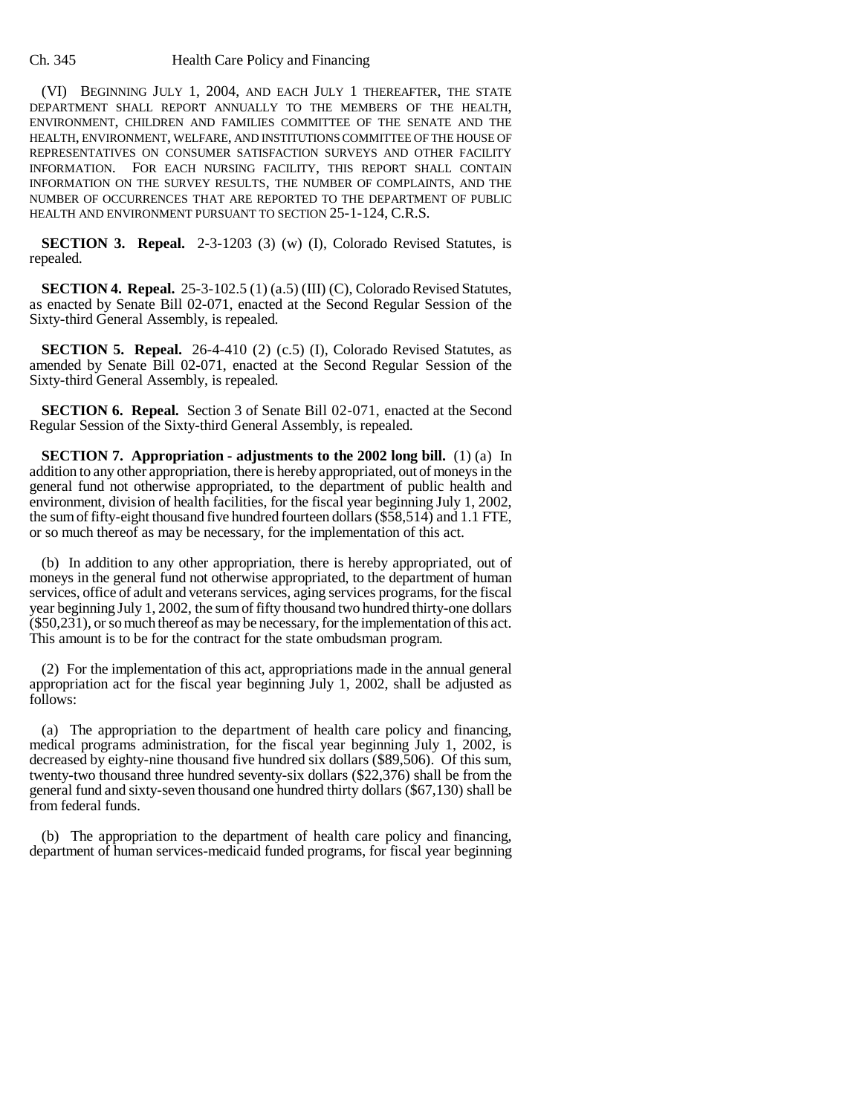#### Ch. 345 Health Care Policy and Financing

(VI) BEGINNING JULY 1, 2004, AND EACH JULY 1 THEREAFTER, THE STATE DEPARTMENT SHALL REPORT ANNUALLY TO THE MEMBERS OF THE HEALTH, ENVIRONMENT, CHILDREN AND FAMILIES COMMITTEE OF THE SENATE AND THE HEALTH, ENVIRONMENT, WELFARE, AND INSTITUTIONS COMMITTEE OF THE HOUSE OF REPRESENTATIVES ON CONSUMER SATISFACTION SURVEYS AND OTHER FACILITY INFORMATION. FOR EACH NURSING FACILITY, THIS REPORT SHALL CONTAIN INFORMATION ON THE SURVEY RESULTS, THE NUMBER OF COMPLAINTS, AND THE NUMBER OF OCCURRENCES THAT ARE REPORTED TO THE DEPARTMENT OF PUBLIC HEALTH AND ENVIRONMENT PURSUANT TO SECTION 25-1-124, C.R.S.

**SECTION 3. Repeal.** 2-3-1203 (3) (w) (I), Colorado Revised Statutes, is repealed.

**SECTION 4. Repeal.** 25-3-102.5 (1) (a.5) (III) (C), Colorado Revised Statutes, as enacted by Senate Bill 02-071, enacted at the Second Regular Session of the Sixty-third General Assembly, is repealed.

**SECTION 5. Repeal.** 26-4-410 (2) (c.5) (I), Colorado Revised Statutes, as amended by Senate Bill 02-071, enacted at the Second Regular Session of the Sixty-third General Assembly, is repealed.

**SECTION 6. Repeal.** Section 3 of Senate Bill 02-071, enacted at the Second Regular Session of the Sixty-third General Assembly, is repealed.

**SECTION 7.** Appropriation - adjustments to the 2002 long bill. (1) (a) In addition to any other appropriation, there is hereby appropriated, out of moneys in the general fund not otherwise appropriated, to the department of public health and environment, division of health facilities, for the fiscal year beginning July 1, 2002, the sum of fifty-eight thousand five hundred fourteen dollars (\$58,514) and 1.1 FTE, or so much thereof as may be necessary, for the implementation of this act.

(b) In addition to any other appropriation, there is hereby appropriated, out of moneys in the general fund not otherwise appropriated, to the department of human services, office of adult and veterans services, aging services programs, for the fiscal year beginning July 1, 2002, the sum of fifty thousand two hundred thirty-one dollars (\$50,231), or so much thereof as may be necessary, for the implementation of this act. This amount is to be for the contract for the state ombudsman program.

(2) For the implementation of this act, appropriations made in the annual general appropriation act for the fiscal year beginning July 1, 2002, shall be adjusted as follows:

(a) The appropriation to the department of health care policy and financing, medical programs administration, for the fiscal year beginning July 1, 2002, is decreased by eighty-nine thousand five hundred six dollars (\$89,506). Of this sum, twenty-two thousand three hundred seventy-six dollars (\$22,376) shall be from the general fund and sixty-seven thousand one hundred thirty dollars (\$67,130) shall be from federal funds.

(b) The appropriation to the department of health care policy and financing, department of human services-medicaid funded programs, for fiscal year beginning